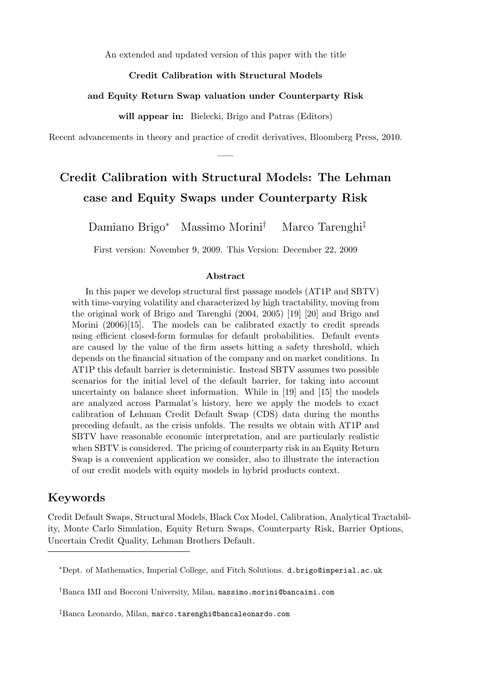An extended and updated version of this paper with the title

#### Credit Calibration with Structural Models

#### and Equity Return Swap valuation under Counterparty Risk

will appear in: Bielecki, Brigo and Patras (Editors)

Recent advancements in theory and practice of credit derivatives, Bloomberg Press, 2010.

—

# Credit Calibration with Structural Models: The Lehman case and Equity Swaps under Counterparty Risk

Damiano Brigo<sup>∗</sup> Massimo Morini† Marco Tarenghi‡

First version: November 9, 2009. This Version: December 22, 2009

#### Abstract

In this paper we develop structural first passage models (AT1P and SBTV) with time-varying volatility and characterized by high tractability, moving from the original work of Brigo and Tarenghi (2004, 2005) [19] [20] and Brigo and Morini (2006)[15]. The models can be calibrated exactly to credit spreads using efficient closed-form formulas for default probabilities. Default events are caused by the value of the firm assets hitting a safety threshold, which depends on the financial situation of the company and on market conditions. In AT1P this default barrier is deterministic. Instead SBTV assumes two possible scenarios for the initial level of the default barrier, for taking into account uncertainty on balance sheet information. While in [19] and [15] the models are analyzed across Parmalat's history, here we apply the models to exact calibration of Lehman Credit Default Swap (CDS) data during the months preceding default, as the crisis unfolds. The results we obtain with AT1P and SBTV have reasonable economic interpretation, and are particularly realistic when SBTV is considered. The pricing of counterparty risk in an Equity Return Swap is a convenient application we consider, also to illustrate the interaction of our credit models with equity models in hybrid products context.

#### Keywords

Credit Default Swaps, Structural Models, Black Cox Model, Calibration, Analytical Tractability, Monte Carlo Simulation, Equity Return Swaps, Counterparty Risk, Barrier Options, Uncertain Credit Quality, Lehman Brothers Default.

<sup>∗</sup>Dept. of Mathematics, Imperial College, and Fitch Solutions. d.brigo@imperial.ac.uk

<sup>†</sup>Banca IMI and Bocconi University, Milan, massimo.morini@bancaimi.com

<sup>‡</sup>Banca Leonardo, Milan, marco.tarenghi@bancaleonardo.com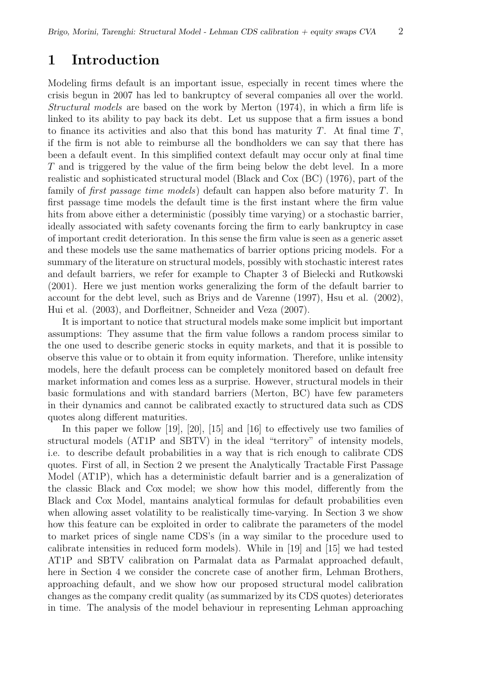### 1 Introduction

Modeling firms default is an important issue, especially in recent times where the crisis begun in 2007 has led to bankruptcy of several companies all over the world. Structural models are based on the work by Merton (1974), in which a firm life is linked to its ability to pay back its debt. Let us suppose that a firm issues a bond to finance its activities and also that this bond has maturity  $T$ . At final time  $T$ , if the firm is not able to reimburse all the bondholders we can say that there has been a default event. In this simplified context default may occur only at final time T and is triggered by the value of the firm being below the debt level. In a more realistic and sophisticated structural model (Black and Cox (BC) (1976), part of the family of *first passage time models*) default can happen also before maturity  $T$ . In first passage time models the default time is the first instant where the firm value hits from above either a deterministic (possibly time varying) or a stochastic barrier, ideally associated with safety covenants forcing the firm to early bankruptcy in case of important credit deterioration. In this sense the firm value is seen as a generic asset and these models use the same mathematics of barrier options pricing models. For a summary of the literature on structural models, possibly with stochastic interest rates and default barriers, we refer for example to Chapter 3 of Bielecki and Rutkowski (2001). Here we just mention works generalizing the form of the default barrier to account for the debt level, such as Briys and de Varenne (1997), Hsu et al. (2002), Hui et al. (2003), and Dorfleitner, Schneider and Veza (2007).

It is important to notice that structural models make some implicit but important assumptions: They assume that the firm value follows a random process similar to the one used to describe generic stocks in equity markets, and that it is possible to observe this value or to obtain it from equity information. Therefore, unlike intensity models, here the default process can be completely monitored based on default free market information and comes less as a surprise. However, structural models in their basic formulations and with standard barriers (Merton, BC) have few parameters in their dynamics and cannot be calibrated exactly to structured data such as CDS quotes along different maturities.

In this paper we follow [19], [20], [15] and [16] to effectively use two families of structural models (AT1P and SBTV) in the ideal "territory" of intensity models, i.e. to describe default probabilities in a way that is rich enough to calibrate CDS quotes. First of all, in Section 2 we present the Analytically Tractable First Passage Model (AT1P), which has a deterministic default barrier and is a generalization of the classic Black and Cox model; we show how this model, differently from the Black and Cox Model, mantains analytical formulas for default probabilities even when allowing asset volatility to be realistically time-varying. In Section 3 we show how this feature can be exploited in order to calibrate the parameters of the model to market prices of single name CDS's (in a way similar to the procedure used to calibrate intensities in reduced form models). While in [19] and [15] we had tested AT1P and SBTV calibration on Parmalat data as Parmalat approached default, here in Section 4 we consider the concrete case of another firm, Lehman Brothers, approaching default, and we show how our proposed structural model calibration changes as the company credit quality (as summarized by its CDS quotes) deteriorates in time. The analysis of the model behaviour in representing Lehman approaching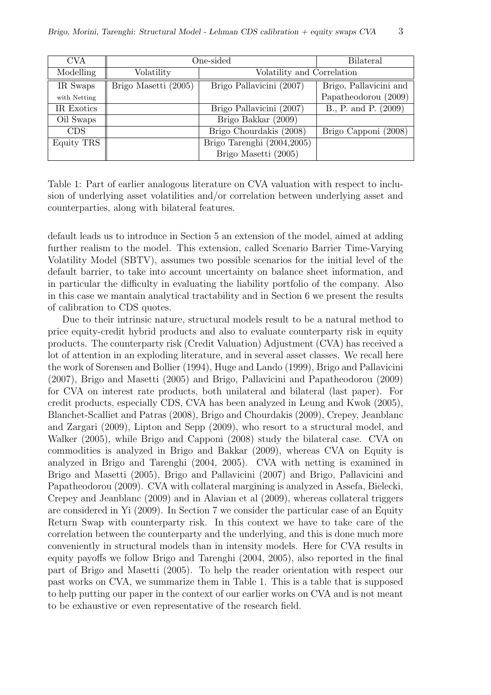| <b>CVA</b>   | One-sided            |                            | <b>Bilateral</b>       |
|--------------|----------------------|----------------------------|------------------------|
| Modelling    | Volatility           | Volatility and Correlation |                        |
| IR Swaps     | Brigo Masetti (2005) | Brigo Pallavicini (2007)   | Brigo, Pallavicini and |
| with Netting |                      |                            | Papatheodorou (2009)   |
| IR Exotics   |                      | Brigo Pallavicini (2007)   | B., P. and P. (2009)   |
| Oil Swaps    |                      | Brigo Bakkar (2009)        |                        |
| <b>CDS</b>   |                      | Brigo Chourdakis (2008)    | Brigo Capponi (2008)   |
| Equity TRS   |                      | Brigo Tarenghi (2004,2005) |                        |
|              |                      | Brigo Masetti (2005)       |                        |

Table 1: Part of earlier analogous literature on CVA valuation with respect to inclusion of underlying asset volatilities and/or correlation between underlying asset and counterparties, along with bilateral features.

default leads us to introduce in Section 5 an extension of the model, aimed at adding further realism to the model. This extension, called Scenario Barrier Time-Varying Volatility Model (SBTV), assumes two possible scenarios for the initial level of the default barrier, to take into account uncertainty on balance sheet information, and in particular the difficulty in evaluating the liability portfolio of the company. Also in this case we mantain analytical tractability and in Section 6 we present the results of calibration to CDS quotes.

Due to their intrinsic nature, structural models result to be a natural method to price equity-credit hybrid products and also to evaluate counterparty risk in equity products. The counterparty risk (Credit Valuation) Adjustment (CVA) has received a lot of attention in an exploding literature, and in several asset classes. We recall here the work of Sorensen and Bollier (1994), Huge and Lando (1999), Brigo and Pallavicini (2007), Brigo and Masetti (2005) and Brigo, Pallavicini and Papatheodorou (2009) for CVA on interest rate products, both unilateral and bilateral (last paper). For credit products, especially CDS, CVA has been analyzed in Leung and Kwok (2005), Blanchet-Scalliet and Patras (2008), Brigo and Chourdakis (2009), Crepey, Jeanblanc and Zargari (2009), Lipton and Sepp (2009), who resort to a structural model, and Walker (2005), while Brigo and Capponi (2008) study the bilateral case. CVA on commodities is analyzed in Brigo and Bakkar (2009), whereas CVA on Equity is analyzed in Brigo and Tarenghi (2004, 2005). CVA with netting is examined in Brigo and Masetti (2005), Brigo and Pallavicini (2007) and Brigo, Pallavicini and Papatheodorou (2009). CVA with collateral margining is analyzed in Assefa, Bielecki, Crepey and Jeanblanc (2009) and in Alavian et al (2009), whereas collateral triggers are considered in Yi (2009). In Section 7 we consider the particular case of an Equity Return Swap with counterparty risk. In this context we have to take care of the correlation between the counterparty and the underlying, and this is done much more conveniently in structural models than in intensity models. Here for CVA results in equity payoffs we follow Brigo and Tarenghi (2004, 2005), also reported in the final part of Brigo and Masetti (2005). To help the reader orientation with respect our past works on CVA, we summarize them in Table 1. This is a table that is supposed to help putting our paper in the context of our earlier works on CVA and is not meant to be exhaustive or even representative of the research field.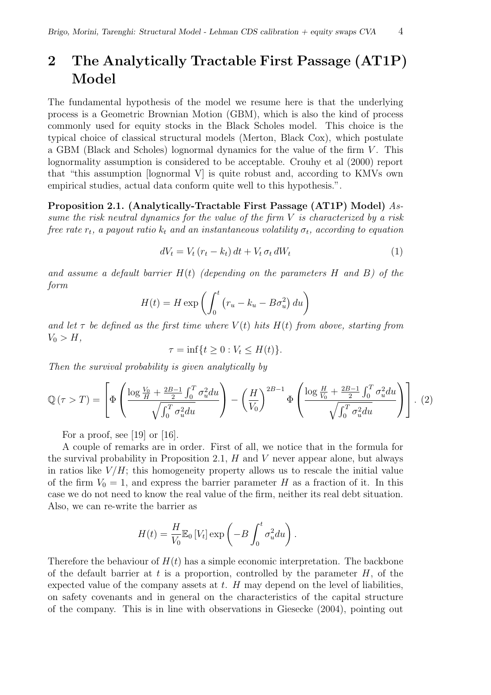# 2 The Analytically Tractable First Passage (AT1P) Model

The fundamental hypothesis of the model we resume here is that the underlying process is a Geometric Brownian Motion (GBM), which is also the kind of process commonly used for equity stocks in the Black Scholes model. This choice is the typical choice of classical structural models (Merton, Black Cox), which postulate a GBM (Black and Scholes) lognormal dynamics for the value of the firm  $V$ . This lognormality assumption is considered to be acceptable. Crouhy et al (2000) report that "this assumption [lognormal V] is quite robust and, according to KMVs own empirical studies, actual data conform quite well to this hypothesis.".

Proposition 2.1. (Analytically-Tractable First Passage (AT1P) Model) Assume the risk neutral dynamics for the value of the firm  $V$  is characterized by a risk free rate  $r_t$ , a payout ratio  $k_t$  and an instantaneous volatility  $\sigma_t$ , according to equation

$$
dV_t = V_t (r_t - k_t) dt + V_t \sigma_t dW_t
$$
\n<sup>(1)</sup>

and assume a default barrier  $H(t)$  (depending on the parameters H and B) of the form

$$
H(t) = H \exp\left(\int_0^t \left(r_u - k_u - B\sigma_u^2\right) du\right)
$$

and let  $\tau$  be defined as the first time where  $V(t)$  hits  $H(t)$  from above, starting from  $V_0 > H$ ,

$$
\tau = \inf\{t \ge 0 : V_t \le H(t)\}.
$$

Then the survival probability is given analytically by

$$
\mathbb{Q}(\tau > T) = \left[ \Phi \left( \frac{\log \frac{V_0}{H} + \frac{2B - 1}{2} \int_0^T \sigma_u^2 du}{\sqrt{\int_0^T \sigma_u^2 du}} \right) - \left( \frac{H}{V_0} \right)^{2B - 1} \Phi \left( \frac{\log \frac{H}{V_0} + \frac{2B - 1}{2} \int_0^T \sigma_u^2 du}{\sqrt{\int_0^T \sigma_u^2 du}} \right) \right].
$$
 (2)

For a proof, see [19] or [16].

A couple of remarks are in order. First of all, we notice that in the formula for the survival probability in Proposition 2.1,  $H$  and  $V$  never appear alone, but always in ratios like  $V/H$ ; this homogeneity property allows us to rescale the initial value of the firm  $V_0 = 1$ , and express the barrier parameter H as a fraction of it. In this case we do not need to know the real value of the firm, neither its real debt situation. Also, we can re-write the barrier as

$$
H(t) = \frac{H}{V_0} \mathbb{E}_0 \left[ V_t \right] \exp \left( -B \int_0^t \sigma_u^2 du \right).
$$

Therefore the behaviour of  $H(t)$  has a simple economic interpretation. The backbone of the default barrier at t is a proportion, controlled by the parameter  $H$ , of the expected value of the company assets at  $t$ . H may depend on the level of liabilities, on safety covenants and in general on the characteristics of the capital structure of the company. This is in line with observations in Giesecke (2004), pointing out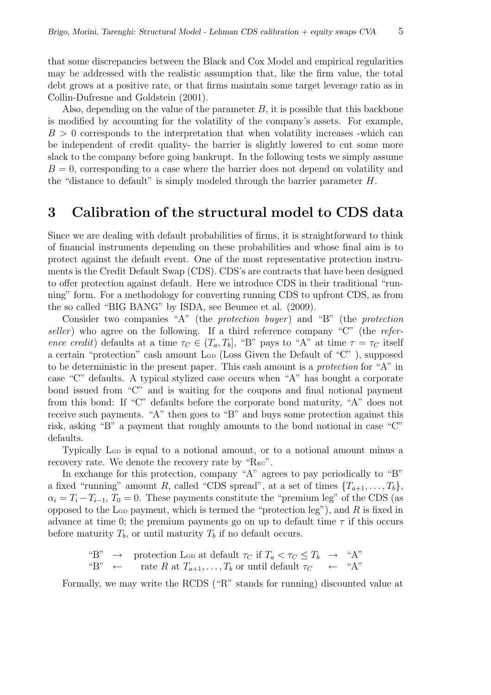that some discrepancies between the Black and Cox Model and empirical regularities may be addressed with the realistic assumption that, like the firm value, the total debt grows at a positive rate, or that firms maintain some target leverage ratio as in Collin-Dufresne and Goldstein (2001).

Also, depending on the value of the parameter  $B$ , it is possible that this backbone is modified by accounting for the volatility of the company's assets. For example,  $B > 0$  corresponds to the interpretation that when volatility increases -which can be independent of credit quality- the barrier is slightly lowered to cut some more slack to the company before going bankrupt. In the following tests we simply assume  $B = 0$ , corresponding to a case where the barrier does not depend on volatility and the "distance to default" is simply modeled through the barrier parameter H.

### 3 Calibration of the structural model to CDS data

Since we are dealing with default probabilities of firms, it is straightforward to think of financial instruments depending on these probabilities and whose final aim is to protect against the default event. One of the most representative protection instruments is the Credit Default Swap (CDS). CDS's are contracts that have been designed to offer protection against default. Here we introduce CDS in their traditional "running" form. For a methodology for converting running CDS to upfront CDS, as from the so called "BIG BANG" by ISDA, see Beumee et al. (2009).

Consider two companies "A" (the *protection buyer*) and "B" (the *protection* seller) who agree on the following. If a third reference company " $C$ " (the reference credit) defaults at a time  $\tau_C \in (T_a, T_b]$ , "B" pays to "A" at time  $\tau = \tau_C$  itself a certain "protection" cash amount  $L_{GD}$  (Loss Given the Default of "C"), supposed to be deterministic in the present paper. This cash amount is a protection for "A" in case "C" defaults. A typical stylized case occurs when "A" has bought a corporate bond issued from "C" and is waiting for the coupons and final notional payment from this bond: If "C" defaults before the corporate bond maturity, "A" does not receive such payments. "A" then goes to "B" and buys some protection against this risk, asking "B" a payment that roughly amounts to the bond notional in case "C" defaults.

Typically LGD is equal to a notional amount, or to a notional amount minus a recovery rate. We denote the recovery rate by " $\text{R}_{EC}$ ".

In exchange for this protection, company "A" agrees to pay periodically to "B" a fixed "running" amount R, called "CDS spread", at a set of times  $\{T_{a+1}, \ldots, T_b\}$ ,  $\alpha_i = T_i - T_{i-1}, T_0 = 0$ . These payments constitute the "premium leg" of the CDS (as opposed to the L<sub>GD</sub> payment, which is termed the "protection leg"), and  $R$  is fixed in advance at time 0; the premium payments go on up to default time  $\tau$  if this occurs before maturity  $T_b$ , or until maturity  $T_b$  if no default occurs.

$$
\begin{array}{rcl}\n\text{``B''} & \rightarrow & \text{protection} \text{ } \text{L}_{\text{CD}} \text{ at default } \tau_C \text{ if } T_a < \tau_C \le T_b \quad \rightarrow & \text{``A''} \\
\text{``B''} & \leftarrow & \text{rate} \ R \text{ at } T_{a+1}, \dots, T_b \text{ or until default } \tau_C \quad \leftarrow & \text{``A''} \\
\end{array}
$$

Formally, we may write the RCDS ("R" stands for running) discounted value at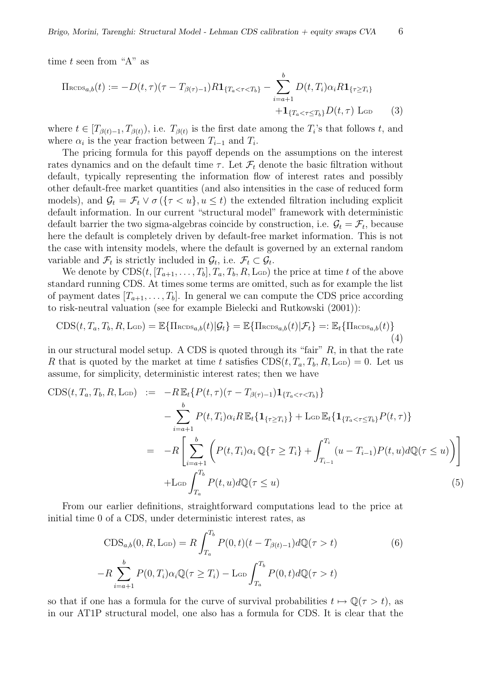time  $t$  seen from "A" as

$$
\Pi_{\text{RCDS}_{a,b}}(t) := -D(t,\tau)(\tau - T_{\beta(\tau)-1})R\mathbf{1}_{\{T_a < \tau < T_b\}} - \sum_{i=a+1}^b D(t,T_i)\alpha_i R\mathbf{1}_{\{\tau \ge T_i\}} + \mathbf{1}_{\{T_a < \tau \le T_b\}} D(t,\tau) \text{ L}_{\text{GD}} \tag{3}
$$

where  $t \in [T_{\beta(t)-1}, T_{\beta(t)})$ , i.e.  $T_{\beta(t)}$  is the first date among the  $T_i$ 's that follows t, and where  $\alpha_i$  is the year fraction between  $T_{i-1}$  and  $T_i$ .

The pricing formula for this payoff depends on the assumptions on the interest rates dynamics and on the default time  $\tau$ . Let  $\mathcal{F}_t$  denote the basic filtration without default, typically representing the information flow of interest rates and possibly other default-free market quantities (and also intensities in the case of reduced form models), and  $\mathcal{G}_t = \mathcal{F}_t \vee \sigma (\{\tau < u\}, u \leq t)$  the extended filtration including explicit default information. In our current "structural model" framework with deterministic default barrier the two sigma-algebras coincide by construction, i.e.  $\mathcal{G}_t = \mathcal{F}_t$ , because here the default is completely driven by default-free market information. This is not the case with intensity models, where the default is governed by an external random variable and  $\mathcal{F}_t$  is strictly included in  $\mathcal{G}_t$ , i.e.  $\mathcal{F}_t \subset \mathcal{G}_t$ .

We denote by  $CDS(t, [T_{a+1}, \ldots, T_b], T_a, T_b, R, L_{GD})$  the price at time t of the above standard running CDS. At times some terms are omitted, such as for example the list of payment dates  $[T_{a+1}, \ldots, T_b]$ . In general we can compute the CDS price according to risk-neutral valuation (see for example Bielecki and Rutkowski (2001)):

$$
CDS(t, T_a, T_b, R, \text{LoD}) = \mathbb{E}\{\Pi_{\text{RCDS}_{a,b}}(t)|\mathcal{G}_t\} = \mathbb{E}\{\Pi_{\text{RCDS}_{a,b}}(t)|\mathcal{F}_t\} =: \mathbb{E}_t\{\Pi_{\text{RCDS}_{a,b}}(t)\}\tag{4}
$$

in our structural model setup. A CDS is quoted through its "fair"  $R$ , in that the rate R that is quoted by the market at time t satisfies  $CDS(t, T_a, T_b, R, L_{GD}) = 0$ . Let us assume, for simplicity, deterministic interest rates; then we have

$$
CDS(t, T_a, T_b, R, \text{L}_{GD}) := -R \mathbb{E}_t \{ P(t, \tau) (\tau - T_{\beta(\tau)-1}) \mathbf{1}_{\{T_a < \tau < T_b\}} \}
$$
\n
$$
- \sum_{i=a+1}^b P(t, T_i) \alpha_i R \mathbb{E}_t \{ \mathbf{1}_{\{\tau \ge T_i\}} \} + \text{L}_{GD} \mathbb{E}_t \{ \mathbf{1}_{\{T_a < \tau \le T_b\}} P(t, \tau) \}
$$
\n
$$
= -R \left[ \sum_{i=a+1}^b \left( P(t, T_i) \alpha_i \mathbb{Q}\{\tau \ge T_i\} + \int_{T_{i-1}}^{T_i} (u - T_{i-1}) P(t, u) d\mathbb{Q}(\tau \le u) \right) \right]
$$
\n
$$
+ \text{L}_{GD} \int_{T_a}^{T_b} P(t, u) d\mathbb{Q}(\tau \le u) \tag{5}
$$

From our earlier definitions, straightforward computations lead to the price at initial time 0 of a CDS, under deterministic interest rates, as

$$
CDS_{a,b}(0, R, \text{L}_{GD}) = R \int_{T_a}^{T_b} P(0, t)(t - T_{\beta(t)-1}) d\mathbb{Q}(\tau > t)
$$
(6)  

$$
-R \sum_{i=a+1}^{b} P(0, T_i) \alpha_i \mathbb{Q}(\tau \ge T_i) - \text{L}_{GD} \int_{T_a}^{T_b} P(0, t) d\mathbb{Q}(\tau > t)
$$

so that if one has a formula for the curve of survival probabilities  $t \mapsto \mathbb{Q}(\tau > t)$ , as in our AT1P structural model, one also has a formula for CDS. It is clear that the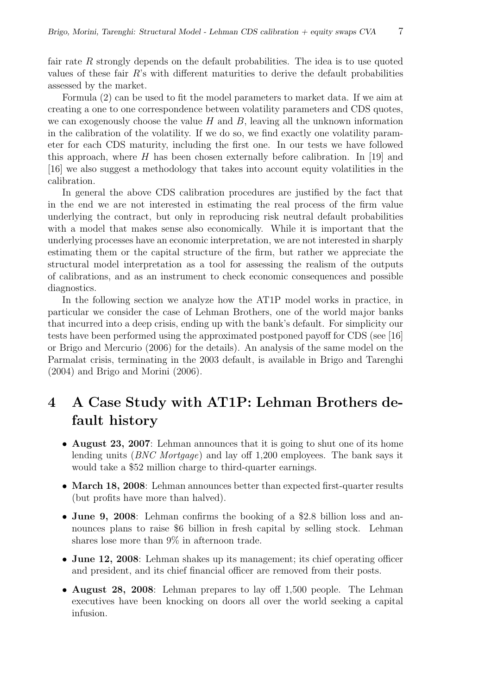fair rate R strongly depends on the default probabilities. The idea is to use quoted values of these fair  $R$ 's with different maturities to derive the default probabilities assessed by the market.

Formula (2) can be used to fit the model parameters to market data. If we aim at creating a one to one correspondence between volatility parameters and CDS quotes, we can exogenously choose the value  $H$  and  $B$ , leaving all the unknown information in the calibration of the volatility. If we do so, we find exactly one volatility parameter for each CDS maturity, including the first one. In our tests we have followed this approach, where  $H$  has been chosen externally before calibration. In [19] and [16] we also suggest a methodology that takes into account equity volatilities in the calibration.

In general the above CDS calibration procedures are justified by the fact that in the end we are not interested in estimating the real process of the firm value underlying the contract, but only in reproducing risk neutral default probabilities with a model that makes sense also economically. While it is important that the underlying processes have an economic interpretation, we are not interested in sharply estimating them or the capital structure of the firm, but rather we appreciate the structural model interpretation as a tool for assessing the realism of the outputs of calibrations, and as an instrument to check economic consequences and possible diagnostics.

In the following section we analyze how the AT1P model works in practice, in particular we consider the case of Lehman Brothers, one of the world major banks that incurred into a deep crisis, ending up with the bank's default. For simplicity our tests have been performed using the approximated postponed payoff for CDS (see [16] or Brigo and Mercurio (2006) for the details). An analysis of the same model on the Parmalat crisis, terminating in the 2003 default, is available in Brigo and Tarenghi (2004) and Brigo and Morini (2006).

# 4 A Case Study with AT1P: Lehman Brothers default history

- August 23, 2007: Lehman announces that it is going to shut one of its home lending units (*BNC Mortgage*) and lay off 1,200 employees. The bank says it would take a \$52 million charge to third-quarter earnings.
- March 18, 2008: Lehman announces better than expected first-quarter results (but profits have more than halved).
- June 9, 2008: Lehman confirms the booking of a \$2.8 billion loss and announces plans to raise \$6 billion in fresh capital by selling stock. Lehman shares lose more than 9% in afternoon trade.
- June 12, 2008: Lehman shakes up its management; its chief operating officer and president, and its chief financial officer are removed from their posts.
- August 28, 2008: Lehman prepares to lay off 1,500 people. The Lehman executives have been knocking on doors all over the world seeking a capital infusion.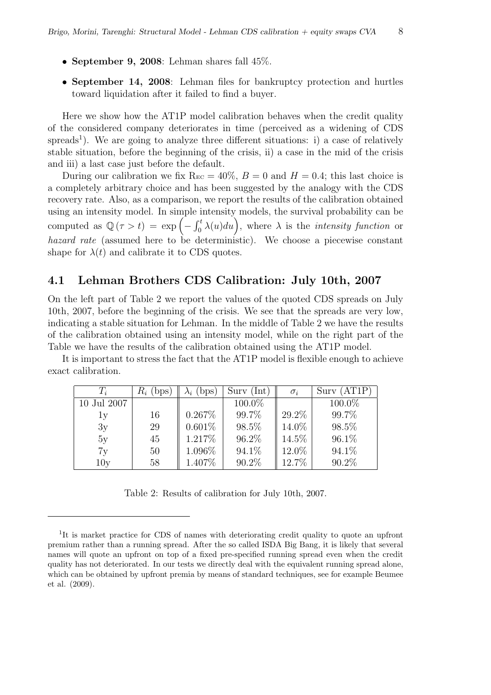- September 9, 2008: Lehman shares fall 45%.
- September 14, 2008: Lehman files for bankruptcy protection and hurtles toward liquidation after it failed to find a buyer.

Here we show how the AT1P model calibration behaves when the credit quality of the considered company deteriorates in time (perceived as a widening of CDS spreads<sup>1</sup>). We are going to analyze three different situations: i) a case of relatively stable situation, before the beginning of the crisis, ii) a case in the mid of the crisis and iii) a last case just before the default.

During our calibration we fix  $\text{R}_{\text{EC}} = 40\%$ ,  $B = 0$  and  $H = 0.4$ ; this last choice is a completely arbitrary choice and has been suggested by the analogy with the CDS recovery rate. Also, as a comparison, we report the results of the calibration obtained using an intensity model. In simple intensity models, the survival probability can be using an intensity model. In simple i<br>computed as  $\mathbb{Q}(\tau > t) = \exp \left(-\int_0^t$ intensity models, the survival probability can be<br> $\int_0^t \lambda(u) du$ , where  $\lambda$  is the *intensity function* or hazard rate (assumed here to be deterministic). We choose a piecewise constant shape for  $\lambda(t)$  and calibrate it to CDS quotes.

#### 4.1 Lehman Brothers CDS Calibration: July 10th, 2007

On the left part of Table 2 we report the values of the quoted CDS spreads on July 10th, 2007, before the beginning of the crisis. We see that the spreads are very low, indicating a stable situation for Lehman. In the middle of Table 2 we have the results of the calibration obtained using an intensity model, while on the right part of the Table we have the results of the calibration obtained using the AT1P model.

It is important to stress the fact that the AT1P model is flexible enough to achieve exact calibration.

|             | $R_i$<br>(bps) | bps       | $Surv$ (Int) | $\sigma_i$ | AT1P<br>Surv |
|-------------|----------------|-----------|--------------|------------|--------------|
| 10 Jul 2007 |                |           | 100.0%       |            | 100.0%       |
| 1v          | 16             | 0.267%    | 99.7%        | 29.2\%     | 99.7%        |
| 3y          | 29             | $0.601\%$ | 98.5%        | 14.0%      | 98.5%        |
| 5y          | 45             | 1.217\%   | 96.2%        | 14.5%      | 96.1%        |
| 7y          | 50             | $1.096\%$ | 94.1%        | 12.0%      | 94.1%        |
| $10\rm{y}$  | 58             | 1.407\%   | 90.2%        | 12.7%      | 90.2%        |

Table 2: Results of calibration for July 10th, 2007.

<sup>&</sup>lt;sup>1</sup>It is market practice for CDS of names with deteriorating credit quality to quote an upfront premium rather than a running spread. After the so called ISDA Big Bang, it is likely that several names will quote an upfront on top of a fixed pre-specified running spread even when the credit quality has not deteriorated. In our tests we directly deal with the equivalent running spread alone, which can be obtained by upfront premia by means of standard techniques, see for example Beumee et al. (2009).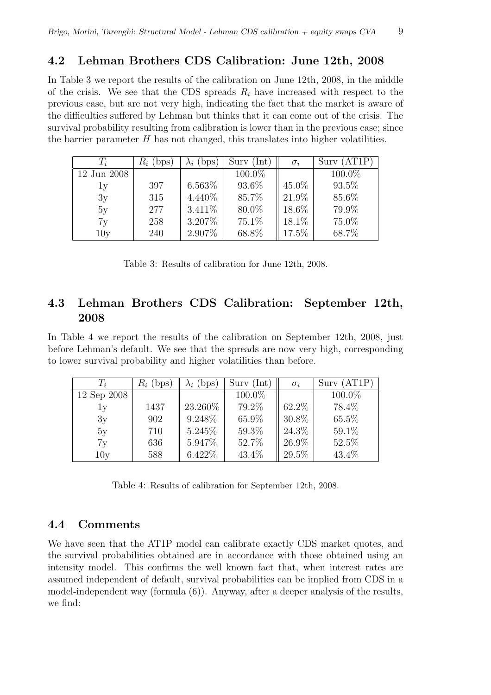#### 4.2 Lehman Brothers CDS Calibration: June 12th, 2008

In Table 3 we report the results of the calibration on June 12th, 2008, in the middle of the crisis. We see that the CDS spreads  $R_i$  have increased with respect to the previous case, but are not very high, indicating the fact that the market is aware of the difficulties suffered by Lehman but thinks that it can come out of the crisis. The survival probability resulting from calibration is lower than in the previous case; since the barrier parameter  $H$  has not changed, this translates into higher volatilities.

| $T_i$          | $R_i$ (bps) | (bps)   | $Surv$ (Int) | $\sigma_i$ | (AT1P)<br>Surv |
|----------------|-------------|---------|--------------|------------|----------------|
| 12 Jun 2008    |             |         | 100.0%       |            | 100.0%         |
| 1y             | 397         | 6.563\% | 93.6%        | $45.0\%$   | 93.5%          |
| 3y             | 315         | 4.440\% | 85.7%        | 21.9%      | 85.6%          |
| 5y             | 277         | 3.411\% | 80.0%        | 18.6%      | 79.9%          |
| 7y             | 258         | 3.207%  | 75.1%        | 18.1\%     | 75.0%          |
| $10\mathrm{v}$ | 240         | 2.907%  | 68.8%        | 17.5%      | 68.7%          |

Table 3: Results of calibration for June 12th, 2008.

### 4.3 Lehman Brothers CDS Calibration: September 12th, 2008

In Table 4 we report the results of the calibration on September 12th, 2008, just before Lehman's default. We see that the spreads are now very high, corresponding to lower survival probability and higher volatilities than before.

| $T_i$       | $R_i$<br>(bps) | (bps)<br>$\lambda_i$ | $Surv$ (Int) | $\sigma_i$ | AT1P'<br>Surv |
|-------------|----------------|----------------------|--------------|------------|---------------|
| 12 Sep 2008 |                |                      | 100.0%       |            | 100.0%        |
| ΤA          | 1437           | 23.260%              | 79.2%        | 62.2%      | 78.4%         |
| 3y          | 902            | 9.248\%              | 65.9%        | 30.8%      | 65.5%         |
| 5y          | 710            | 5.245\%              | 59.3%        | 24.3%      | 59.1%         |
| 7y          | 636            | 5.947%               | 52.7%        | 26.9%      | 52.5%         |
| 10y         | 588            | 6.422\%              | 43.4%        | 29.5%      | 43.4%         |

Table 4: Results of calibration for September 12th, 2008.

#### 4.4 Comments

We have seen that the AT1P model can calibrate exactly CDS market quotes, and the survival probabilities obtained are in accordance with those obtained using an intensity model. This confirms the well known fact that, when interest rates are assumed independent of default, survival probabilities can be implied from CDS in a model-independent way (formula (6)). Anyway, after a deeper analysis of the results, we find: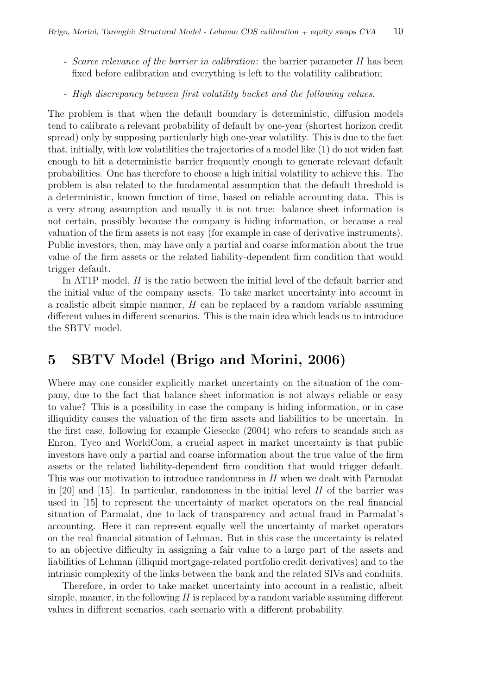- Scarce relevance of the barrier in calibration: the barrier parameter H has been fixed before calibration and everything is left to the volatility calibration;
- High discrepancy between first volatility bucket and the following values.

The problem is that when the default boundary is deterministic, diffusion models tend to calibrate a relevant probability of default by one-year (shortest horizon credit spread) only by supposing particularly high one-year volatility. This is due to the fact that, initially, with low volatilities the trajectories of a model like (1) do not widen fast enough to hit a deterministic barrier frequently enough to generate relevant default probabilities. One has therefore to choose a high initial volatility to achieve this. The problem is also related to the fundamental assumption that the default threshold is a deterministic, known function of time, based on reliable accounting data. This is a very strong assumption and usually it is not true: balance sheet information is not certain, possibly because the company is hiding information, or because a real valuation of the firm assets is not easy (for example in case of derivative instruments). Public investors, then, may have only a partial and coarse information about the true value of the firm assets or the related liability-dependent firm condition that would trigger default.

In AT1P model, H is the ratio between the initial level of the default barrier and the initial value of the company assets. To take market uncertainty into account in a realistic albeit simple manner,  $H$  can be replaced by a random variable assuming different values in different scenarios. This is the main idea which leads us to introduce the SBTV model.

## 5 SBTV Model (Brigo and Morini, 2006)

Where may one consider explicitly market uncertainty on the situation of the company, due to the fact that balance sheet information is not always reliable or easy to value? This is a possibility in case the company is hiding information, or in case illiquidity causes the valuation of the firm assets and liabilities to be uncertain. In the first case, following for example Giesecke (2004) who refers to scandals such as Enron, Tyco and WorldCom, a crucial aspect in market uncertainty is that public investors have only a partial and coarse information about the true value of the firm assets or the related liability-dependent firm condition that would trigger default. This was our motivation to introduce randomness in H when we dealt with Parmalat in [20] and [15]. In particular, randomness in the initial level  $H$  of the barrier was used in [15] to represent the uncertainty of market operators on the real financial situation of Parmalat, due to lack of transparency and actual fraud in Parmalat's accounting. Here it can represent equally well the uncertainty of market operators on the real financial situation of Lehman. But in this case the uncertainty is related to an objective difficulty in assigning a fair value to a large part of the assets and liabilities of Lehman (illiquid mortgage-related portfolio credit derivatives) and to the intrinsic complexity of the links between the bank and the related SIVs and conduits.

Therefore, in order to take market uncertainty into account in a realistic, albeit simple, manner, in the following  $H$  is replaced by a random variable assuming different values in different scenarios, each scenario with a different probability.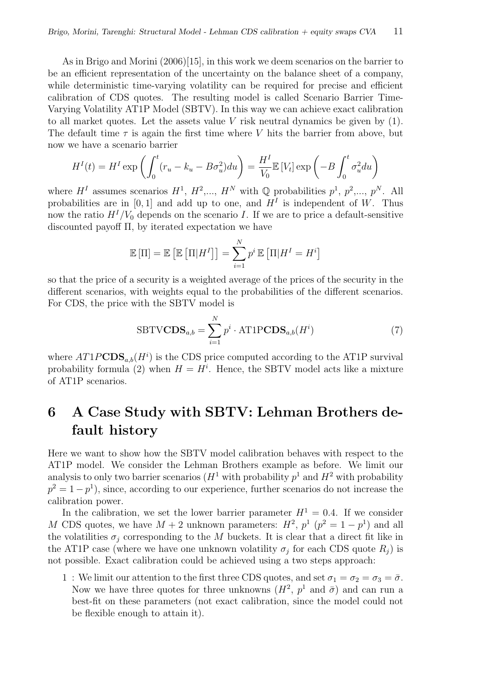As in Brigo and Morini (2006)[15], in this work we deem scenarios on the barrier to be an efficient representation of the uncertainty on the balance sheet of a company, while deterministic time-varying volatility can be required for precise and efficient calibration of CDS quotes. The resulting model is called Scenario Barrier Time-Varying Volatility AT1P Model (SBTV). In this way we can achieve exact calibration to all market quotes. Let the assets value  $V$  risk neutral dynamics be given by  $(1)$ . The default time  $\tau$  is again the first time where V hits the barrier from above, but now we have a scenario barrier

$$
H^{I}(t) = H^{I} \exp \left( \int_{0}^{t} (r_{u} - k_{u} - B\sigma_{u}^{2}) du \right) = \frac{H^{I}}{V_{0}} \mathbb{E} \left[ V_{t} \right] \exp \left( -B \int_{0}^{t} \sigma_{u}^{2} du \right)
$$

where  $H^I$  assumes scenarios  $H^1$ ,  $H^2$ ,...,  $H^N$  with Q probabilities  $p^1$ ,  $p^2$ ,...,  $p^N$ . All probabilities are in [0,1] and add up to one, and  $H<sup>I</sup>$  is independent of W. Thus now the ratio  $H^I/V_0$  depends on the scenario I. If we are to price a default-sensitive discounted payoff  $\Pi$ , by iterated expectation we have

$$
\mathbb{E}[\Pi] = \mathbb{E}\left[\mathbb{E}\left[\Pi|H^{I}\right]\right] = \sum_{i=1}^{N} p^{i} \mathbb{E}\left[\Pi|H^{I} = H^{i}\right]
$$

so that the price of a security is a weighted average of the prices of the security in the different scenarios, with weights equal to the probabilities of the different scenarios. For CDS, the price with the SBTV model is

$$
SBTVCDS_{a,b} = \sum_{i=1}^{N} p^i \cdot AT1PCDS_{a,b}(H^i)
$$
 (7)

where  $AT1PCDS_{a,b}(H<sup>i</sup>)$  is the CDS price computed according to the AT1P survival probability formula (2) when  $H = H<sup>i</sup>$ . Hence, the SBTV model acts like a mixture of AT1P scenarios.

# 6 A Case Study with SBTV: Lehman Brothers default history

Here we want to show how the SBTV model calibration behaves with respect to the AT1P model. We consider the Lehman Brothers example as before. We limit our analysis to only two barrier scenarios ( $H^1$  with probability  $p^1$  and  $H^2$  with probability  $p^2 = 1 - p^1$ , since, according to our experience, further scenarios do not increase the calibration power.

In the calibration, we set the lower barrier parameter  $H^1 = 0.4$ . If we consider M CDS quotes, we have  $M + 2$  unknown parameters:  $H^2$ ,  $p^1$  ( $p^2 = 1 - p^1$ ) and all the volatilities  $\sigma_j$  corresponding to the M buckets. It is clear that a direct fit like in the AT1P case (where we have one unknown volatility  $\sigma_j$  for each CDS quote  $R_j$ ) is not possible. Exact calibration could be achieved using a two steps approach:

1 : We limit our attention to the first three CDS quotes, and set  $\sigma_1 = \sigma_2 = \sigma_3 = \bar{\sigma}$ . Now we have three quotes for three unknowns  $(H^2, p^1 \text{ and } \bar{\sigma})$  and can run a best-fit on these parameters (not exact calibration, since the model could not be flexible enough to attain it).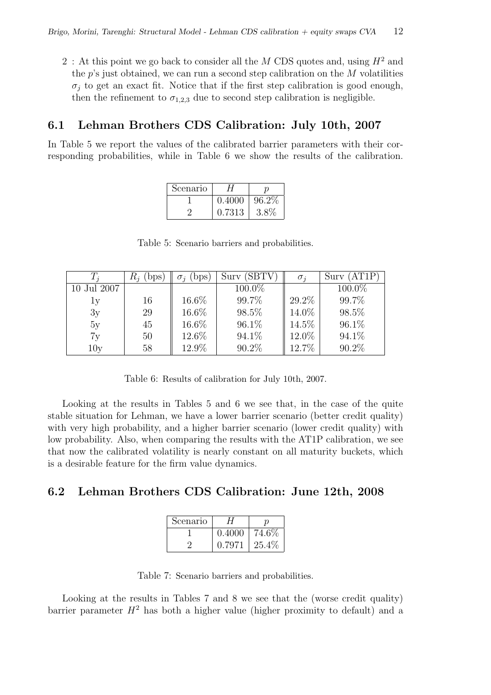2 : At this point we go back to consider all the M CDS quotes and, using  $H^2$  and the  $p$ 's just obtained, we can run a second step calibration on the  $M$  volatilities  $\sigma_i$  to get an exact fit. Notice that if the first step calibration is good enough, then the refinement to  $\sigma_{1,2,3}$  due to second step calibration is negligible.

### 6.1 Lehman Brothers CDS Calibration: July 10th, 2007

In Table 5 we report the values of the calibrated barrier parameters with their corresponding probabilities, while in Table 6 we show the results of the calibration.

| Scenario |        |         |
|----------|--------|---------|
|          | 0.4000 | 96.2\%  |
|          | 0.7313 | $3.8\%$ |

Table 5: Scenario barriers and probabilities.

|             | $R_i$<br>bps) | (bps)<br>$\sigma_i$ | 'SBTV<br>Surv | $\sigma_i$ | (AT1P)<br>Surv |
|-------------|---------------|---------------------|---------------|------------|----------------|
| 10 Jul 2007 |               |                     | 100.0%        |            | 100.0%         |
| 1y          | 16            | 16.6%               | 99.7%         | 29.2%      | 99.7%          |
| 3y          | 29            | 16.6%               | 98.5%         | 14.0%      | 98.5%          |
| 5y          | 45            | 16.6%               | 96.1%         | 14.5%      | 96.1%          |
| 7y          | 50            | 12.6%               | 94.1%         | 12.0%      | 94.1%          |
| 10y         | 58            | 12.9%               | 90.2%         | 12.7%      | 90.2%          |

Table 6: Results of calibration for July 10th, 2007.

Looking at the results in Tables 5 and 6 we see that, in the case of the quite stable situation for Lehman, we have a lower barrier scenario (better credit quality) with very high probability, and a higher barrier scenario (lower credit quality) with low probability. Also, when comparing the results with the AT1P calibration, we see that now the calibrated volatility is nearly constant on all maturity buckets, which is a desirable feature for the firm value dynamics.

### 6.2 Lehman Brothers CDS Calibration: June 12th, 2008

| Scenario |        |          |
|----------|--------|----------|
|          | 0.4000 | 74.6%    |
|          | 0.7971 | $25.4\%$ |

Table 7: Scenario barriers and probabilities.

Looking at the results in Tables 7 and 8 we see that the (worse credit quality) barrier parameter  $H^2$  has both a higher value (higher proximity to default) and a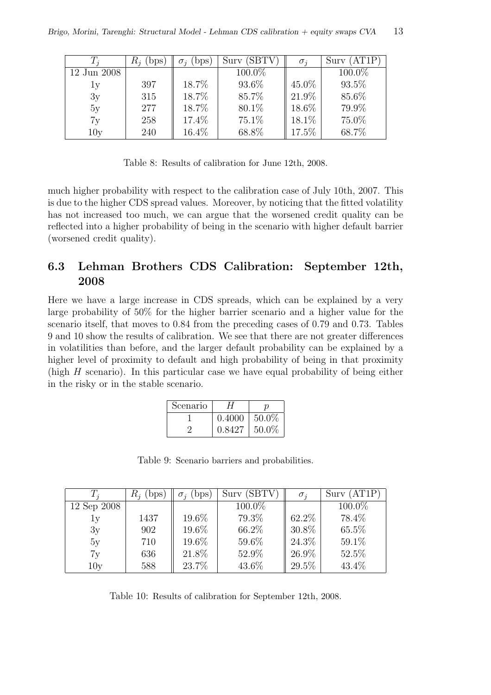|             | $R_i$<br>(bps) | bps<br>$\sigma_i$ | Surv (SBTV) | $\sigma_i$ | (AT1P)<br>Surv |
|-------------|----------------|-------------------|-------------|------------|----------------|
| 12 Jun 2008 |                |                   | 100.0%      |            | 100.0%         |
| 1y          | 397            | 18.7%             | 93.6%       | 45.0%      | 93.5%          |
| 3y          | 315            | 18.7%             | 85.7%       | 21.9%      | 85.6%          |
| 5y          | 277            | 18.7%             | 80.1%       | 18.6%      | 79.9%          |
| 7y          | 258            | 17.4%             | 75.1\%      | 18.1\%     | 75.0%          |
| 10y         | 240            | 16.4%             | 68.8%       | 17.5%      | 68.7%          |

Table 8: Results of calibration for June 12th, 2008.

much higher probability with respect to the calibration case of July 10th, 2007. This is due to the higher CDS spread values. Moreover, by noticing that the fitted volatility has not increased too much, we can argue that the worsened credit quality can be reflected into a higher probability of being in the scenario with higher default barrier (worsened credit quality).

### 6.3 Lehman Brothers CDS Calibration: September 12th, 2008

Here we have a large increase in CDS spreads, which can be explained by a very large probability of 50% for the higher barrier scenario and a higher value for the scenario itself, that moves to 0.84 from the preceding cases of 0.79 and 0.73. Tables 9 and 10 show the results of calibration. We see that there are not greater differences in volatilities than before, and the larger default probability can be explained by a higher level of proximity to default and high probability of being in that proximity (high H scenario). In this particular case we have equal probability of being either in the risky or in the stable scenario.

| Scenario |        |          |
|----------|--------|----------|
|          | 0.4000 | $50.0\%$ |
|          | 0.8427 | $50.0\%$ |

Table 9: Scenario barriers and probabilities.

| $T_i$       | (bps) | (bps)<br>$\sigma_i$ | Surv (SBTV) | $\sigma_i$ | Surv(AT1P) |
|-------------|-------|---------------------|-------------|------------|------------|
| 12 Sep 2008 |       |                     | 100.0%      |            | 100.0%     |
| 1y          | 1437  | 19.6%               | 79.3%       | 62.2%      | 78.4%      |
| 3y          | 902   | 19.6%               | 66.2%       | 30.8%      | 65.5%      |
| 5y          | 710   | 19.6%               | 59.6%       | 24.3%      | 59.1%      |
| 7y          | 636   | 21.8%               | 52.9%       | 26.9%      | 52.5%      |
| 10y         | 588   | 23.7%               | 43.6%       | 29.5%      | $43.4\%$   |

Table 10: Results of calibration for September 12th, 2008.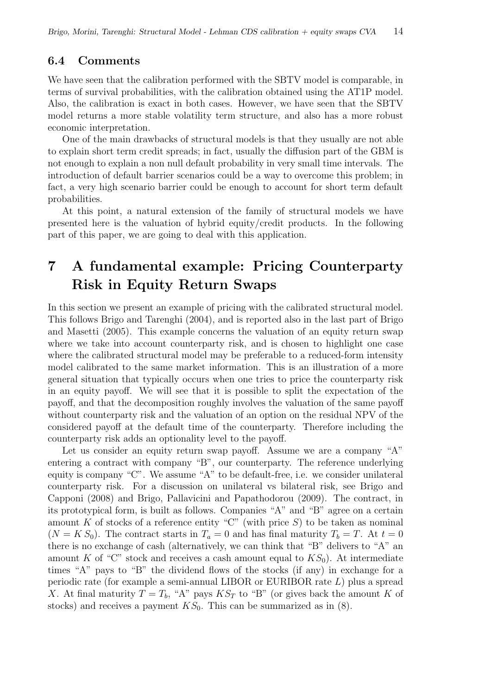#### 6.4 Comments

We have seen that the calibration performed with the SBTV model is comparable, in terms of survival probabilities, with the calibration obtained using the AT1P model. Also, the calibration is exact in both cases. However, we have seen that the SBTV model returns a more stable volatility term structure, and also has a more robust economic interpretation.

One of the main drawbacks of structural models is that they usually are not able to explain short term credit spreads; in fact, usually the diffusion part of the GBM is not enough to explain a non null default probability in very small time intervals. The introduction of default barrier scenarios could be a way to overcome this problem; in fact, a very high scenario barrier could be enough to account for short term default probabilities.

At this point, a natural extension of the family of structural models we have presented here is the valuation of hybrid equity/credit products. In the following part of this paper, we are going to deal with this application.

# 7 A fundamental example: Pricing Counterparty Risk in Equity Return Swaps

In this section we present an example of pricing with the calibrated structural model. This follows Brigo and Tarenghi (2004), and is reported also in the last part of Brigo and Masetti (2005). This example concerns the valuation of an equity return swap where we take into account counterparty risk, and is chosen to highlight one case where the calibrated structural model may be preferable to a reduced-form intensity model calibrated to the same market information. This is an illustration of a more general situation that typically occurs when one tries to price the counterparty risk in an equity payoff. We will see that it is possible to split the expectation of the payoff, and that the decomposition roughly involves the valuation of the same payoff without counterparty risk and the valuation of an option on the residual NPV of the considered payoff at the default time of the counterparty. Therefore including the counterparty risk adds an optionality level to the payoff.

Let us consider an equity return swap payoff. Assume we are a company "A" entering a contract with company "B", our counterparty. The reference underlying equity is company "C". We assume "A" to be default-free, i.e. we consider unilateral counterparty risk. For a discussion on unilateral vs bilateral risk, see Brigo and Capponi (2008) and Brigo, Pallavicini and Papathodorou (2009). The contract, in its prototypical form, is built as follows. Companies "A" and "B" agree on a certain amount K of stocks of a reference entity " $C$ " (with price S) to be taken as nominal  $(N = K S_0)$ . The contract starts in  $T_a = 0$  and has final maturity  $T_b = T$ . At  $t = 0$ there is no exchange of cash (alternatively, we can think that "B" delivers to "A" an amount K of "C" stock and receives a cash amount equal to  $KS_0$ ). At intermediate times "A" pays to "B" the dividend flows of the stocks (if any) in exchange for a periodic rate (for example a semi-annual LIBOR or EURIBOR rate L) plus a spread X. At final maturity  $T = T_b$ , "A" pays  $KS_T$  to "B" (or gives back the amount K of stocks) and receives a payment  $KS_0$ . This can be summarized as in (8).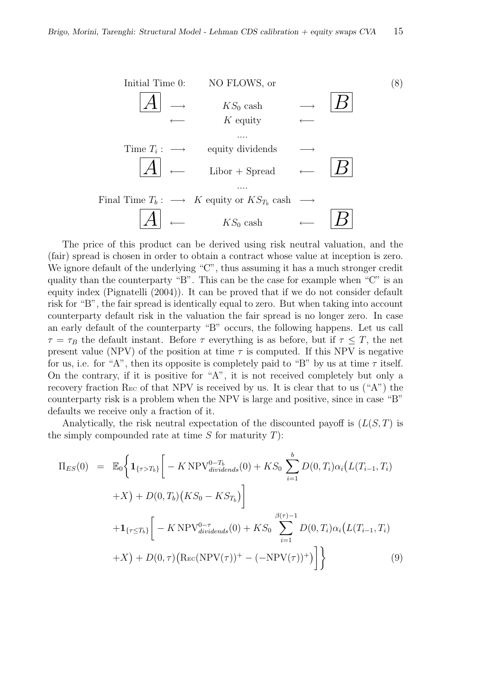

The price of this product can be derived using risk neutral valuation, and the (fair) spread is chosen in order to obtain a contract whose value at inception is zero. We ignore default of the underlying "C", thus assuming it has a much stronger credit quality than the counterparty "B". This can be the case for example when "C" is an equity index (Pignatelli (2004)). It can be proved that if we do not consider default risk for "B", the fair spread is identically equal to zero. But when taking into account counterparty default risk in the valuation the fair spread is no longer zero. In case an early default of the counterparty "B" occurs, the following happens. Let us call  $\tau = \tau_B$  the default instant. Before  $\tau$  everything is as before, but if  $\tau \leq T$ , the net present value (NPV) of the position at time  $\tau$  is computed. If this NPV is negative for us, i.e. for "A", then its opposite is completely paid to "B" by us at time  $\tau$  itself. On the contrary, if it is positive for "A", it is not received completely but only a recovery fraction R<sub>EC</sub> of that NPV is received by us. It is clear that to us  $({}^\omega A$ ") the counterparty risk is a problem when the NPV is large and positive, since in case "B" defaults we receive only a fraction of it.

Analytically, the risk neutral expectation of the discounted payoff is  $(L(S, T))$  is the simply compounded rate at time  $S$  for maturity  $T$ :

$$
\Pi_{ES}(0) = \mathbb{E}_{0} \Biggl\{ \mathbf{1}_{\{\tau > T_{b}\}} \Biggl[ -K \, NPV_{dividends}^{0-T_{b}}(0) + KS_{0} \sum_{i=1}^{b} D(0, T_{i}) \alpha_{i} (L(T_{i-1}, T_{i}) \n+ X) + D(0, T_{b}) (KS_{0} - KS_{T_{b}}) \Biggr] \n+ \mathbf{1}_{\{\tau \le T_{b}\}} \Biggl[ -K \, NPV_{dividends}^{0-\tau}(0) + KS_{0} \sum_{i=1}^{\beta(\tau)-1} D(0, T_{i}) \alpha_{i} (L(T_{i-1}, T_{i}) \n+ X) + D(0, \tau) (Rec(NPV(\tau))^{+} - (-NPV(\tau))^{+}) \Biggr] \Biggr\}
$$
\n(9)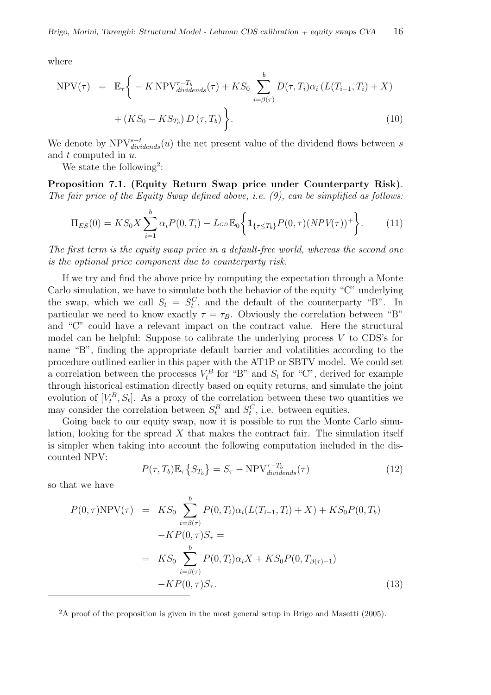where

$$
NPV(\tau) = \mathbb{E}_{\tau} \Bigg\{ -K NPV_{dividends}^{\tau-T_b}(\tau) + KS_0 \sum_{i=\beta(\tau)}^{b} D(\tau, T_i) \alpha_i (L(T_{i-1}, T_i) + X) + (KS_0 - KS_{T_b}) D(\tau, T_b) \Bigg\}.
$$
\n(10)

We denote by  $NPV_{dividends}^{s-t}(u)$  the net present value of the dividend flows between s and  $t$  computed in  $u$ .

We state the following<sup>2</sup>:

Proposition 7.1. (Equity Return Swap price under Counterparty Risk). The fair price of the Equity Swap defined above, i.e. (9), can be simplified as follows:

$$
\Pi_{ES}(0) = KS_0 X \sum_{i=1}^{b} \alpha_i P(0, T_i) - L_{GD} \mathbb{E}_0 \bigg\{ \mathbf{1}_{\{\tau \le T_b\}} P(0, \tau) (NPV(\tau))^+ \bigg\}.
$$
 (11)

The first term is the equity swap price in a default-free world, whereas the second one is the optional price component due to counterparty risk.

If we try and find the above price by computing the expectation through a Monte Carlo simulation, we have to simulate both the behavior of the equity "C" underlying the swap, which we call  $S_t = S_t^C$ , and the default of the counterparty "B". In particular we need to know exactly  $\tau = \tau_B$ . Obviously the correlation between "B" and "C" could have a relevant impact on the contract value. Here the structural model can be helpful: Suppose to calibrate the underlying process  $V$  to CDS's for name "B", finding the appropriate default barrier and volatilities according to the procedure outlined earlier in this paper with the AT1P or SBTV model. We could set a correlation between the processes  $V_t^B$  for "B" and  $S_t$  for "C", derived for example through historical estimation directly based on equity returns, and simulate the joint evolution of  $[V_t^B, S_t]$ . As a proxy of the correlation between these two quantities we may consider the correlation between  $S_t^B$  and  $S_t^C$ , i.e. between equities.

Going back to our equity swap, now it is possible to run the Monte Carlo simulation, looking for the spread  $X$  that makes the contract fair. The simulation itself is simpler when taking into account the following computation included in the discounted NPV:  $\overline{a}$ ª

$$
P(\tau, T_b) \mathbb{E}_{\tau} \{ S_{T_b} \} = S_{\tau} - \text{NPV}_{dividends}^{\tau - T_b}(\tau) \tag{12}
$$

so that we have

$$
P(0,\tau)NPV(\tau) = KS_0 \sum_{i=\beta(\tau)}^{b} P(0,T_i)\alpha_i(L(T_{i-1},T_i) + X) + KS_0P(0,T_b) -KP(0,\tau)S_{\tau} = = KS_0 \sum_{i=\beta(\tau)}^{b} P(0,T_i)\alpha_i X + KS_0P(0,T_{\beta(\tau)-1}) -KP(0,\tau)S_{\tau}.
$$
 (13)

<sup>2</sup>A proof of the proposition is given in the most general setup in Brigo and Masetti (2005).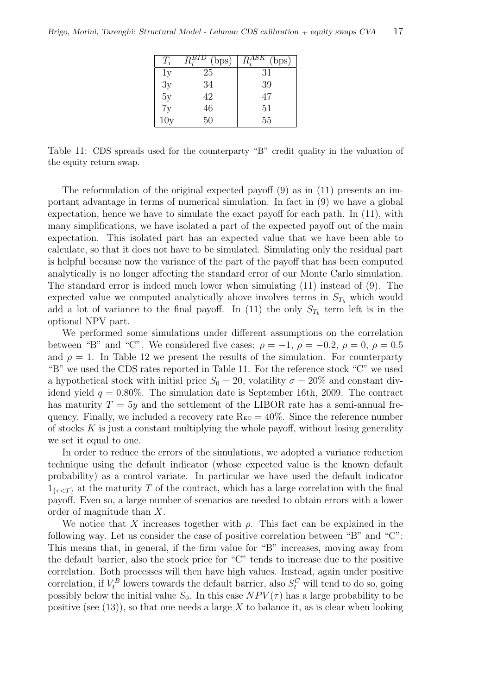| $T_i$                | bps) | $R_i^{A\overline{S}K}$<br>(bps) |
|----------------------|------|---------------------------------|
|                      | 25   | 31                              |
|                      | 34   | 39                              |
| ly<br>3y<br>5y<br>7y | 42   | 47                              |
|                      | 46   | 51                              |
| 10y                  | 50   | 55                              |

Table 11: CDS spreads used for the counterparty "B" credit quality in the valuation of the equity return swap.

The reformulation of the original expected payoff (9) as in (11) presents an important advantage in terms of numerical simulation. In fact in (9) we have a global expectation, hence we have to simulate the exact payoff for each path. In (11), with many simplifications, we have isolated a part of the expected payoff out of the main expectation. This isolated part has an expected value that we have been able to calculate, so that it does not have to be simulated. Simulating only the residual part is helpful because now the variance of the part of the payoff that has been computed analytically is no longer affecting the standard error of our Monte Carlo simulation. The standard error is indeed much lower when simulating (11) instead of (9). The expected value we computed analytically above involves terms in  $S_{T_b}$  which would add a lot of variance to the final payoff. In (11) the only  $S_{T_b}$  term left is in the optional NPV part.

We performed some simulations under different assumptions on the correlation between "B" and "C". We considered five cases:  $\rho = -1$ ,  $\rho = -0.2$ ,  $\rho = 0$ ,  $\rho = 0.5$ and  $\rho = 1$ . In Table 12 we present the results of the simulation. For counterparty "B" we used the CDS rates reported in Table 11. For the reference stock "C" we used a hypothetical stock with initial price  $S_0 = 20$ , volatility  $\sigma = 20\%$  and constant dividend yield  $q = 0.80\%$ . The simulation date is September 16th, 2009. The contract has maturity  $T = 5y$  and the settlement of the LIBOR rate has a semi-annual frequency. Finally, we included a recovery rate  $\text{R}_{EC} = 40\%$ . Since the reference number of stocks  $K$  is just a constant multiplying the whole payoff, without losing generality we set it equal to one.

In order to reduce the errors of the simulations, we adopted a variance reduction technique using the default indicator (whose expected value is the known default probability) as a control variate. In particular we have used the default indicator  $1_{\{\tau<\mathcal{T}\}}$  at the maturity T of the contract, which has a large correlation with the final payoff. Even so, a large number of scenarios are needed to obtain errors with a lower order of magnitude than X.

We notice that X increases together with  $\rho$ . This fact can be explained in the following way. Let us consider the case of positive correlation between "B" and "C": This means that, in general, if the firm value for "B" increases, moving away from the default barrier, also the stock price for "C" tends to increase due to the positive correlation. Both processes will then have high values. Instead, again under positive correlation, if  $V_t^B$  lowers towards the default barrier, also  $S_t^C$  will tend to do so, going possibly below the initial value  $S_0$ . In this case  $NPV(\tau)$  has a large probability to be positive (see  $(13)$ ), so that one needs a large X to balance it, as is clear when looking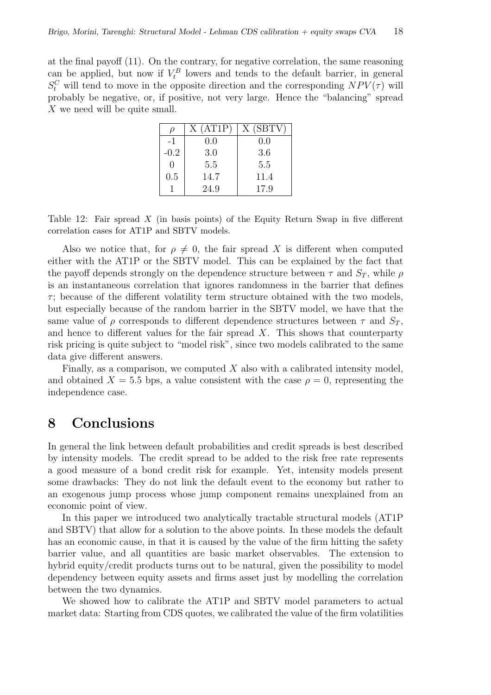at the final payoff (11). On the contrary, for negative correlation, the same reasoning can be applied, but now if  $V_t^B$  lowers and tends to the default barrier, in general  $S_t^C$  will tend to move in the opposite direction and the corresponding  $NPV(\tau)$  will probably be negative, or, if positive, not very large. Hence the "balancing" spread X we need will be quite small.

|              | X(ATIP) | X(SBTV) |
|--------------|---------|---------|
| -1           | $0.0\,$ | 0.0     |
| $-0.2$       | 3.0     | 3.6     |
| $\mathbf{0}$ | 5.5     | 5.5     |
| 0.5          | 14.7    | 11.4    |
|              | 24.9    | 17.9    |

Table 12: Fair spread X (in basis points) of the Equity Return Swap in five different correlation cases for AT1P and SBTV models.

Also we notice that, for  $\rho \neq 0$ , the fair spread X is different when computed either with the AT1P or the SBTV model. This can be explained by the fact that the payoff depends strongly on the dependence structure between  $\tau$  and  $S_T$ , while  $\rho$ is an instantaneous correlation that ignores randomness in the barrier that defines  $\tau$ ; because of the different volatility term structure obtained with the two models, but especially because of the random barrier in the SBTV model, we have that the same value of  $\rho$  corresponds to different dependence structures between  $\tau$  and  $S_T$ . and hence to different values for the fair spread  $X$ . This shows that counterparty risk pricing is quite subject to "model risk", since two models calibrated to the same data give different answers.

Finally, as a comparison, we computed  $X$  also with a calibrated intensity model, and obtained  $X = 5.5$  bps, a value consistent with the case  $\rho = 0$ , representing the independence case.

## 8 Conclusions

In general the link between default probabilities and credit spreads is best described by intensity models. The credit spread to be added to the risk free rate represents a good measure of a bond credit risk for example. Yet, intensity models present some drawbacks: They do not link the default event to the economy but rather to an exogenous jump process whose jump component remains unexplained from an economic point of view.

In this paper we introduced two analytically tractable structural models (AT1P and SBTV) that allow for a solution to the above points. In these models the default has an economic cause, in that it is caused by the value of the firm hitting the safety barrier value, and all quantities are basic market observables. The extension to hybrid equity/credit products turns out to be natural, given the possibility to model dependency between equity assets and firms asset just by modelling the correlation between the two dynamics.

We showed how to calibrate the AT1P and SBTV model parameters to actual market data: Starting from CDS quotes, we calibrated the value of the firm volatilities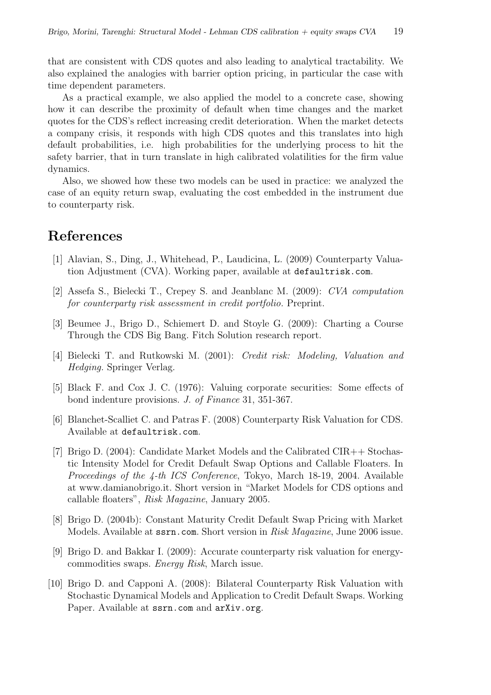that are consistent with CDS quotes and also leading to analytical tractability. We also explained the analogies with barrier option pricing, in particular the case with time dependent parameters.

As a practical example, we also applied the model to a concrete case, showing how it can describe the proximity of default when time changes and the market quotes for the CDS's reflect increasing credit deterioration. When the market detects a company crisis, it responds with high CDS quotes and this translates into high default probabilities, i.e. high probabilities for the underlying process to hit the safety barrier, that in turn translate in high calibrated volatilities for the firm value dynamics.

Also, we showed how these two models can be used in practice: we analyzed the case of an equity return swap, evaluating the cost embedded in the instrument due to counterparty risk.

## References

- [1] Alavian, S., Ding, J., Whitehead, P., Laudicina, L. (2009) Counterparty Valuation Adjustment (CVA). Working paper, available at defaultrisk.com.
- [2] Assefa S., Bielecki T., Crepey S. and Jeanblanc M. (2009): CVA computation for counterparty risk assessment in credit portfolio. Preprint.
- [3] Beumee J., Brigo D., Schiemert D. and Stoyle G. (2009): Charting a Course Through the CDS Big Bang. Fitch Solution research report.
- [4] Bielecki T. and Rutkowski M. (2001): Credit risk: Modeling, Valuation and Hedging. Springer Verlag.
- [5] Black F. and Cox J. C. (1976): Valuing corporate securities: Some effects of bond indenture provisions. J. of Finance 31, 351-367.
- [6] Blanchet-Scalliet C. and Patras F. (2008) Counterparty Risk Valuation for CDS. Available at defaultrisk.com.
- [7] Brigo D. (2004): Candidate Market Models and the Calibrated CIR++ Stochastic Intensity Model for Credit Default Swap Options and Callable Floaters. In Proceedings of the 4-th ICS Conference, Tokyo, March 18-19, 2004. Available at www.damianobrigo.it. Short version in "Market Models for CDS options and callable floaters", Risk Magazine, January 2005.
- [8] Brigo D. (2004b): Constant Maturity Credit Default Swap Pricing with Market Models. Available at ssrn.com. Short version in Risk Magazine, June 2006 issue.
- [9] Brigo D. and Bakkar I. (2009): Accurate counterparty risk valuation for energycommodities swaps. Energy Risk, March issue.
- [10] Brigo D. and Capponi A. (2008): Bilateral Counterparty Risk Valuation with Stochastic Dynamical Models and Application to Credit Default Swaps. Working Paper. Available at ssrn.com and arXiv.org.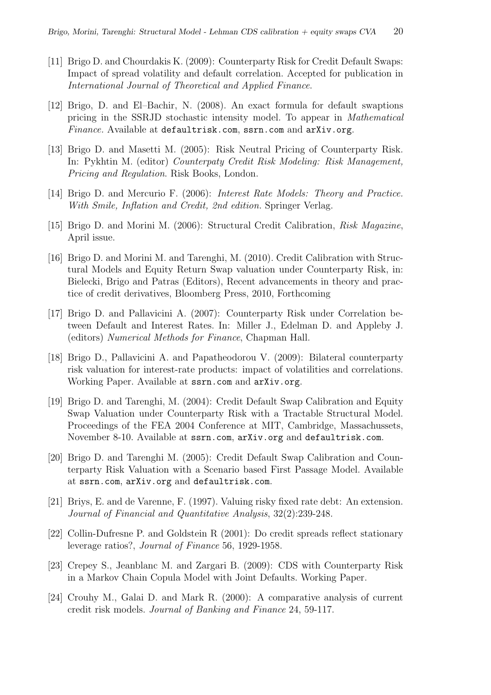- [11] Brigo D. and Chourdakis K. (2009): Counterparty Risk for Credit Default Swaps: Impact of spread volatility and default correlation. Accepted for publication in International Journal of Theoretical and Applied Finance.
- [12] Brigo, D. and El–Bachir, N. (2008). An exact formula for default swaptions pricing in the SSRJD stochastic intensity model. To appear in Mathematical Finance. Available at defaultrisk.com, ssrn.com and arXiv.org.
- [13] Brigo D. and Masetti M. (2005): Risk Neutral Pricing of Counterparty Risk. In: Pykhtin M. (editor) Counterpaty Credit Risk Modeling: Risk Management, Pricing and Regulation. Risk Books, London.
- [14] Brigo D. and Mercurio F. (2006): Interest Rate Models: Theory and Practice. With Smile, Inflation and Credit, 2nd edition. Springer Verlag.
- [15] Brigo D. and Morini M. (2006): Structural Credit Calibration, Risk Magazine, April issue.
- [16] Brigo D. and Morini M. and Tarenghi, M. (2010). Credit Calibration with Structural Models and Equity Return Swap valuation under Counterparty Risk, in: Bielecki, Brigo and Patras (Editors), Recent advancements in theory and practice of credit derivatives, Bloomberg Press, 2010, Forthcoming
- [17] Brigo D. and Pallavicini A. (2007): Counterparty Risk under Correlation between Default and Interest Rates. In: Miller J., Edelman D. and Appleby J. (editors) Numerical Methods for Finance, Chapman Hall.
- [18] Brigo D., Pallavicini A. and Papatheodorou V. (2009): Bilateral counterparty risk valuation for interest-rate products: impact of volatilities and correlations. Working Paper. Available at ssrn.com and arXiv.org.
- [19] Brigo D. and Tarenghi, M. (2004): Credit Default Swap Calibration and Equity Swap Valuation under Counterparty Risk with a Tractable Structural Model. Proceedings of the FEA 2004 Conference at MIT, Cambridge, Massachussets, November 8-10. Available at ssrn.com, arXiv.org and defaultrisk.com.
- [20] Brigo D. and Tarenghi M. (2005): Credit Default Swap Calibration and Counterparty Risk Valuation with a Scenario based First Passage Model. Available at ssrn.com, arXiv.org and defaultrisk.com.
- [21] Briys, E. and de Varenne, F. (1997). Valuing risky fixed rate debt: An extension. Journal of Financial and Quantitative Analysis, 32(2):239-248.
- [22] Collin-Dufresne P. and Goldstein R (2001): Do credit spreads reflect stationary leverage ratios?, Journal of Finance 56, 1929-1958.
- [23] Crepey S., Jeanblanc M. and Zargari B. (2009): CDS with Counterparty Risk in a Markov Chain Copula Model with Joint Defaults. Working Paper.
- [24] Crouhy M., Galai D. and Mark R. (2000): A comparative analysis of current credit risk models. Journal of Banking and Finance 24, 59-117.